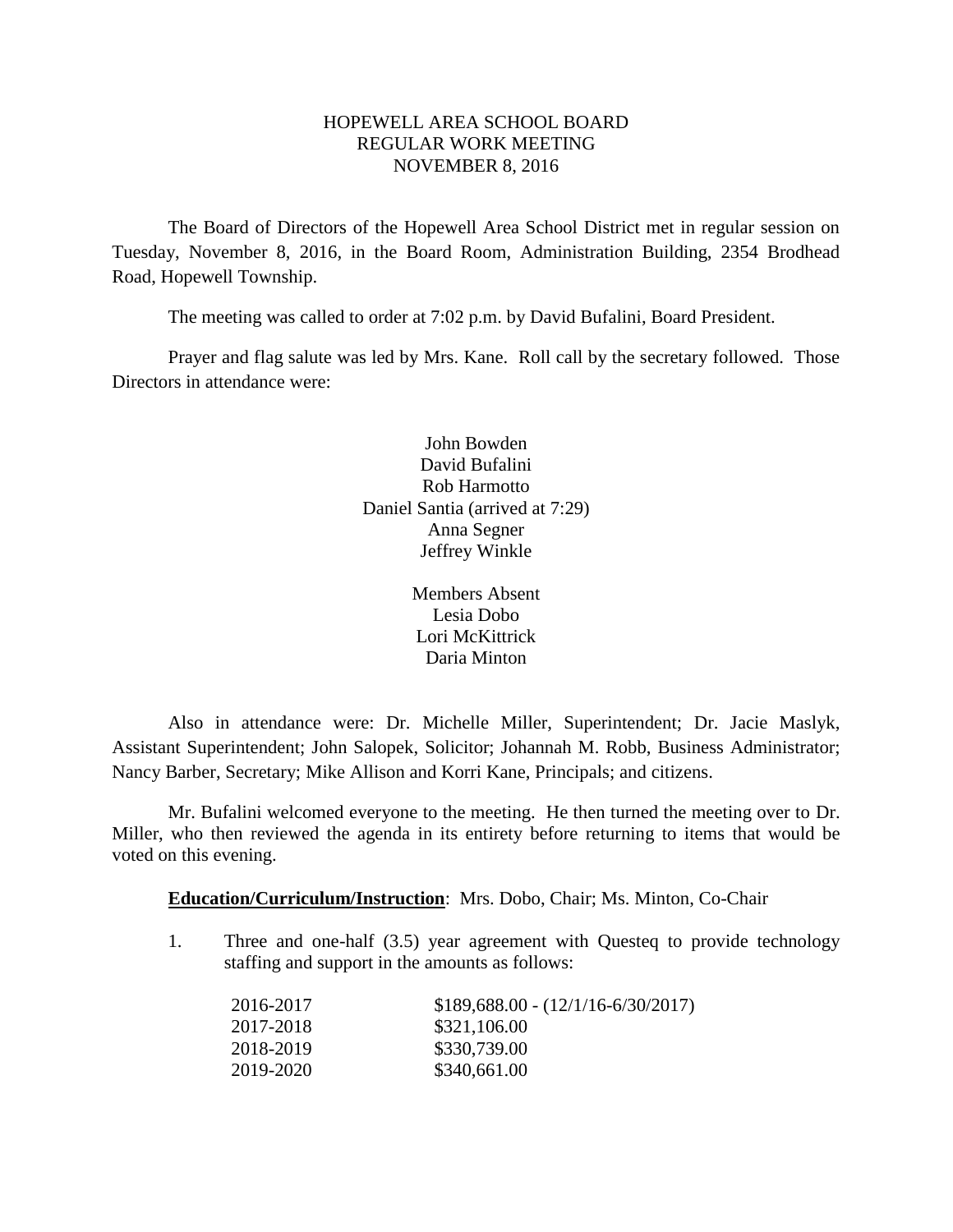# HOPEWELL AREA SCHOOL BOARD REGULAR WORK MEETING NOVEMBER 8, 2016

The Board of Directors of the Hopewell Area School District met in regular session on Tuesday, November 8, 2016, in the Board Room, Administration Building, 2354 Brodhead Road, Hopewell Township.

The meeting was called to order at 7:02 p.m. by David Bufalini, Board President.

Prayer and flag salute was led by Mrs. Kane. Roll call by the secretary followed. Those Directors in attendance were:

> John Bowden David Bufalini Rob Harmotto Daniel Santia (arrived at 7:29) Anna Segner Jeffrey Winkle

> > Members Absent Lesia Dobo Lori McKittrick Daria Minton

Also in attendance were: Dr. Michelle Miller, Superintendent; Dr. Jacie Maslyk, Assistant Superintendent; John Salopek, Solicitor; Johannah M. Robb, Business Administrator; Nancy Barber, Secretary; Mike Allison and Korri Kane, Principals; and citizens.

Mr. Bufalini welcomed everyone to the meeting. He then turned the meeting over to Dr. Miller, who then reviewed the agenda in its entirety before returning to items that would be voted on this evening.

**Education/Curriculum/Instruction**: Mrs. Dobo, Chair; Ms. Minton, Co-Chair

1. Three and one-half (3.5) year agreement with Questeq to provide technology staffing and support in the amounts as follows:

| 2016-2017 | $$189,688.00 - (12/1/16 - 6/30/2017)$ |
|-----------|---------------------------------------|
| 2017-2018 | \$321,106.00                          |
| 2018-2019 | \$330,739.00                          |
| 2019-2020 | \$340,661.00                          |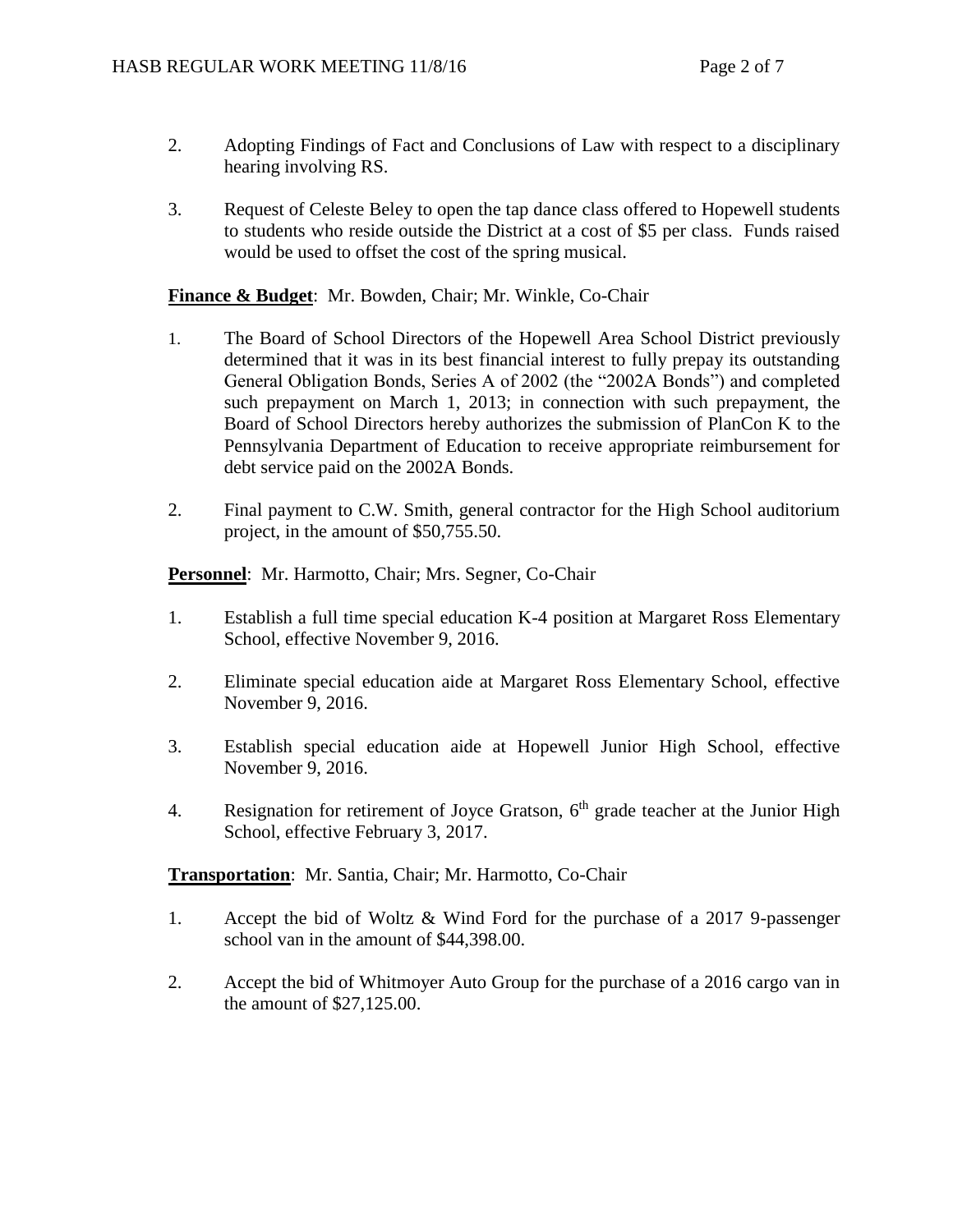- 2. Adopting Findings of Fact and Conclusions of Law with respect to a disciplinary hearing involving RS.
- 3. Request of Celeste Beley to open the tap dance class offered to Hopewell students to students who reside outside the District at a cost of \$5 per class. Funds raised would be used to offset the cost of the spring musical.

# **Finance & Budget**: Mr. Bowden, Chair; Mr. Winkle, Co-Chair

- 1. The Board of School Directors of the Hopewell Area School District previously determined that it was in its best financial interest to fully prepay its outstanding General Obligation Bonds, Series A of 2002 (the "2002A Bonds") and completed such prepayment on March 1, 2013; in connection with such prepayment, the Board of School Directors hereby authorizes the submission of PlanCon K to the Pennsylvania Department of Education to receive appropriate reimbursement for debt service paid on the 2002A Bonds.
- 2. Final payment to C.W. Smith, general contractor for the High School auditorium project, in the amount of \$50,755.50.

**Personnel**: Mr. Harmotto, Chair; Mrs. Segner, Co-Chair

- 1. Establish a full time special education K-4 position at Margaret Ross Elementary School, effective November 9, 2016.
- 2. Eliminate special education aide at Margaret Ross Elementary School, effective November 9, 2016.
- 3. Establish special education aide at Hopewell Junior High School, effective November 9, 2016.
- 4. Resignation for retirement of Joyce Gratson,  $6<sup>th</sup>$  grade teacher at the Junior High School, effective February 3, 2017.

**Transportation**: Mr. Santia, Chair; Mr. Harmotto, Co-Chair

- 1. Accept the bid of Woltz & Wind Ford for the purchase of a 2017 9-passenger school van in the amount of \$44,398.00.
- 2. Accept the bid of Whitmoyer Auto Group for the purchase of a 2016 cargo van in the amount of \$27,125.00.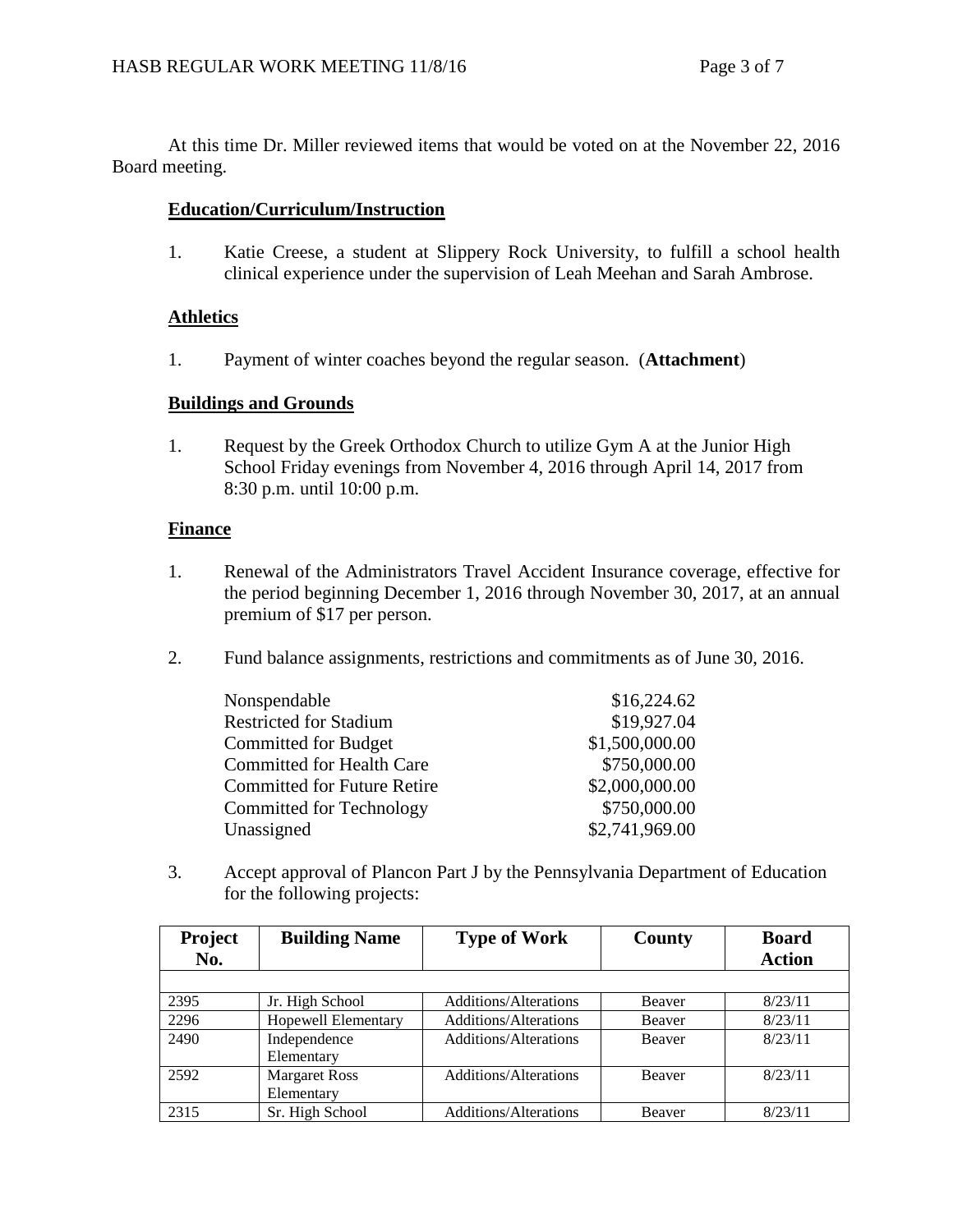At this time Dr. Miller reviewed items that would be voted on at the November 22, 2016 Board meeting.

# **Education/Curriculum/Instruction**

1. Katie Creese, a student at Slippery Rock University, to fulfill a school health clinical experience under the supervision of Leah Meehan and Sarah Ambrose.

## **Athletics**

1. Payment of winter coaches beyond the regular season. (**Attachment**)

## **Buildings and Grounds**

1. Request by the Greek Orthodox Church to utilize Gym A at the Junior High School Friday evenings from November 4, 2016 through April 14, 2017 from 8:30 p.m. until 10:00 p.m.

# **Finance**

- 1. Renewal of the Administrators Travel Accident Insurance coverage, effective for the period beginning December 1, 2016 through November 30, 2017, at an annual premium of \$17 per person.
- 2. Fund balance assignments, restrictions and commitments as of June 30, 2016.

| Nonspendable                       | \$16,224.62    |
|------------------------------------|----------------|
| <b>Restricted for Stadium</b>      | \$19,927.04    |
| <b>Committed for Budget</b>        | \$1,500,000.00 |
| <b>Committed for Health Care</b>   | \$750,000.00   |
| <b>Committed for Future Retire</b> | \$2,000,000.00 |
| Committed for Technology           | \$750,000.00   |
| Unassigned                         | \$2,741,969.00 |

3. Accept approval of Plancon Part J by the Pennsylvania Department of Education for the following projects:

| <b>Project</b><br>No. | <b>Building Name</b>               | <b>Type of Work</b>          | County        | <b>Board</b><br><b>Action</b> |
|-----------------------|------------------------------------|------------------------------|---------------|-------------------------------|
|                       |                                    |                              |               |                               |
| 2395                  | Jr. High School                    | <b>Additions/Alterations</b> | Beaver        | 8/23/11                       |
| 2296                  | Hopewell Elementary                | <b>Additions/Alterations</b> | Beaver        | 8/23/11                       |
| 2490                  | Independence<br>Elementary         | <b>Additions/Alterations</b> | <b>Beaver</b> | 8/23/11                       |
| 2592                  | <b>Margaret Ross</b><br>Elementary | Additions/Alterations        | <b>Beaver</b> | 8/23/11                       |
| 2315                  | Sr. High School                    | <b>Additions/Alterations</b> | Beaver        | 8/23/11                       |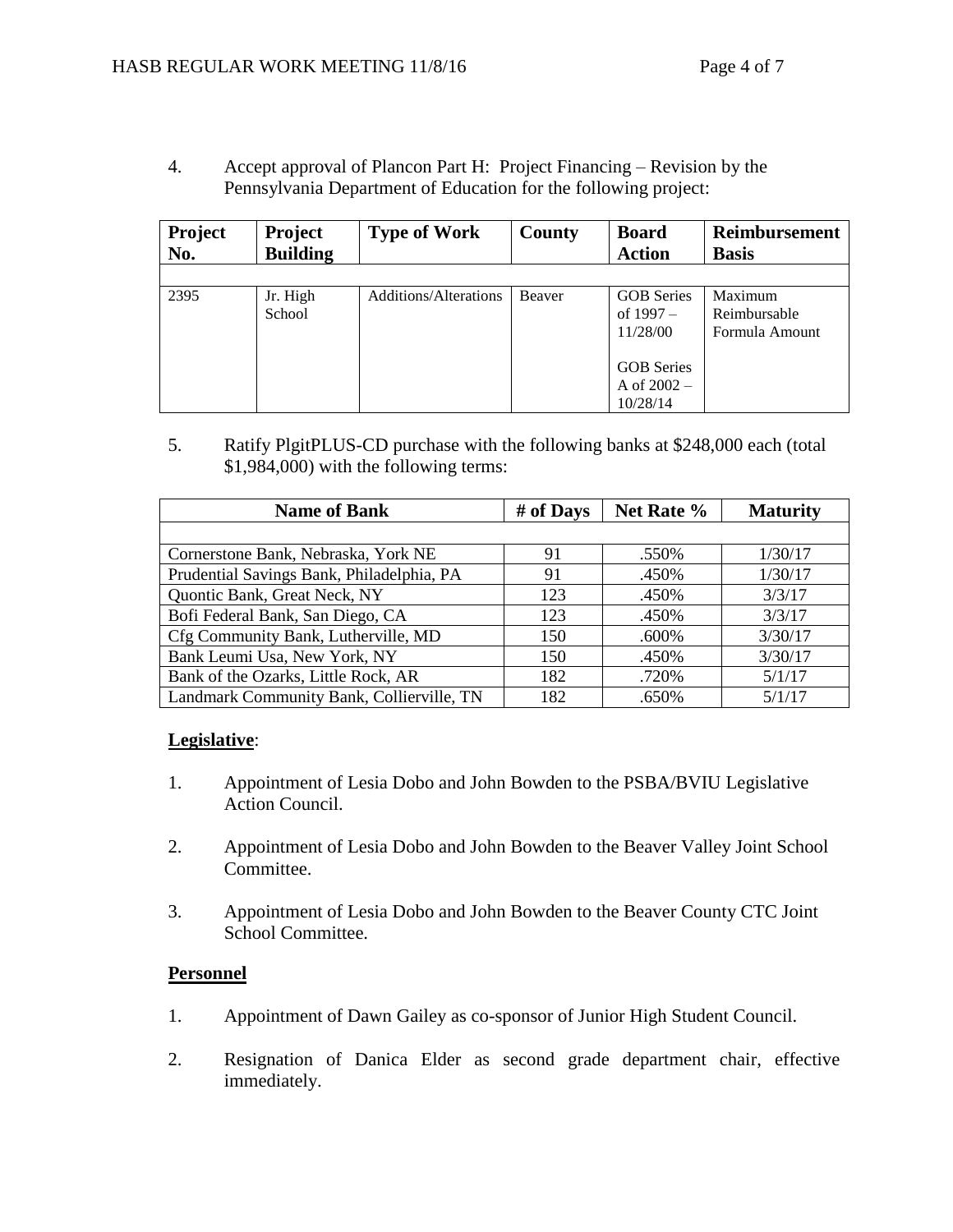4. Accept approval of Plancon Part H: Project Financing – Revision by the Pennsylvania Department of Education for the following project:

| Project<br>No. | <b>Project</b><br><b>Building</b> | <b>Type of Work</b>          | County | <b>Board</b><br><b>Action</b>                  | <b>Reimbursement</b><br><b>Basis</b>      |
|----------------|-----------------------------------|------------------------------|--------|------------------------------------------------|-------------------------------------------|
|                |                                   |                              |        |                                                |                                           |
| 2395           | Jr. High<br>School                | <b>Additions/Alterations</b> | Beaver | <b>GOB</b> Series<br>of $1997 -$<br>11/28/00   | Maximum<br>Reimbursable<br>Formula Amount |
|                |                                   |                              |        | <b>GOB</b> Series<br>A of $2002 -$<br>10/28/14 |                                           |

5. Ratify PlgitPLUS-CD purchase with the following banks at \$248,000 each (total \$1,984,000) with the following terms:

| <b>Name of Bank</b>                       | # of Days | Net Rate % | <b>Maturity</b> |
|-------------------------------------------|-----------|------------|-----------------|
|                                           |           |            |                 |
| Cornerstone Bank, Nebraska, York NE       | 91        | .550%      | 1/30/17         |
| Prudential Savings Bank, Philadelphia, PA | 91        | .450%      | 1/30/17         |
| Quontic Bank, Great Neck, NY              | 123       | .450%      | 3/3/17          |
| Bofi Federal Bank, San Diego, CA          | 123       | .450%      | 3/3/17          |
| Cfg Community Bank, Lutherville, MD       | 150       | .600%      | 3/30/17         |
| Bank Leumi Usa, New York, NY              | 150       | .450%      | 3/30/17         |
| Bank of the Ozarks, Little Rock, AR       | 182       | .720%      | 5/1/17          |
| Landmark Community Bank, Collierville, TN | 182       | .650%      | 5/1/17          |

## **Legislative**:

- 1. Appointment of Lesia Dobo and John Bowden to the PSBA/BVIU Legislative Action Council.
- 2. Appointment of Lesia Dobo and John Bowden to the Beaver Valley Joint School Committee.
- 3. Appointment of Lesia Dobo and John Bowden to the Beaver County CTC Joint School Committee.

## **Personnel**

- 1. Appointment of Dawn Gailey as co-sponsor of Junior High Student Council.
- 2. Resignation of Danica Elder as second grade department chair, effective immediately.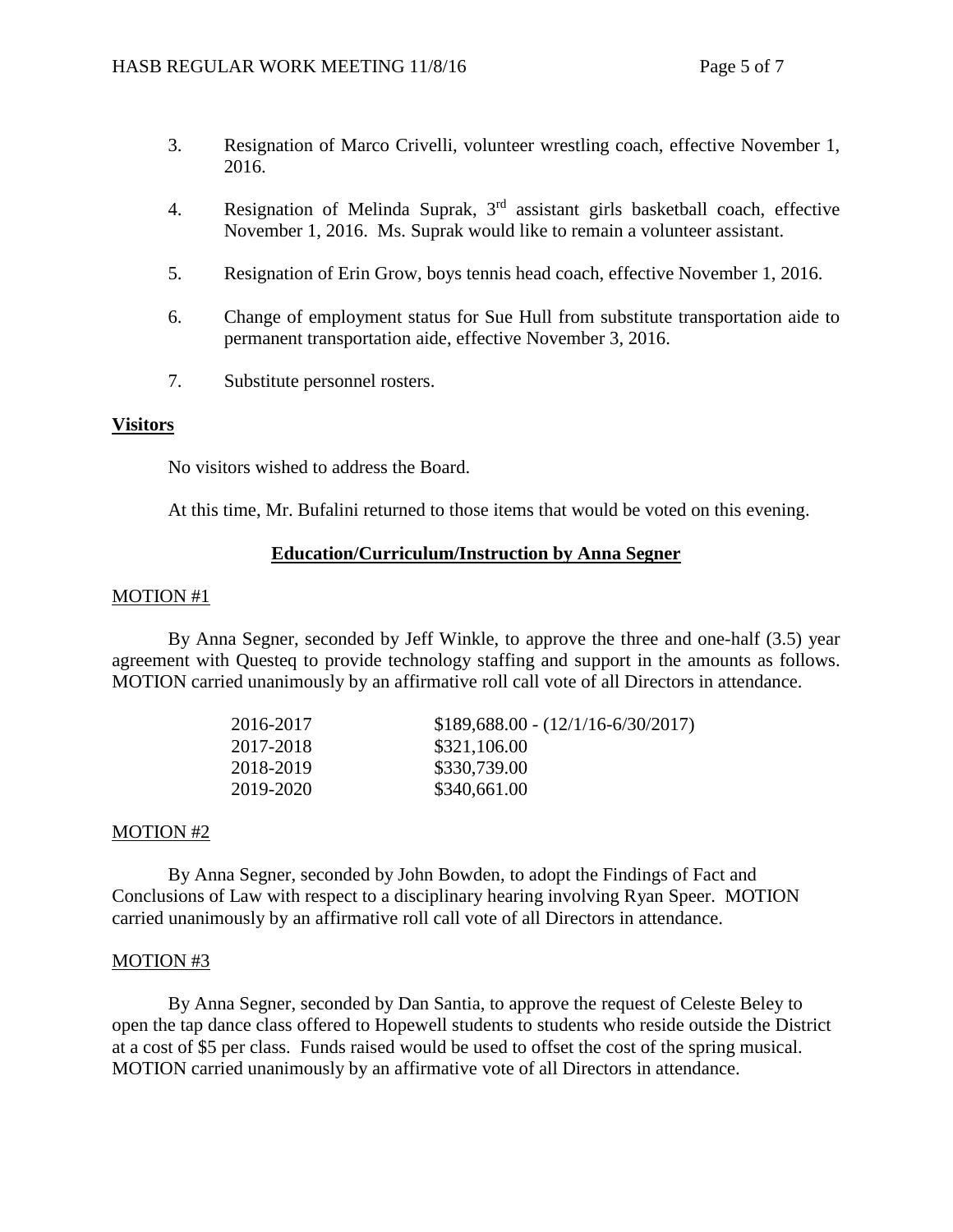- 3. Resignation of Marco Crivelli, volunteer wrestling coach, effective November 1, 2016.
- 4. Resignation of Melinda Suprak,  $3<sup>rd</sup>$  assistant girls basketball coach, effective November 1, 2016. Ms. Suprak would like to remain a volunteer assistant.
- 5. Resignation of Erin Grow, boys tennis head coach, effective November 1, 2016.
- 6. Change of employment status for Sue Hull from substitute transportation aide to permanent transportation aide, effective November 3, 2016.
- 7. Substitute personnel rosters.

### **Visitors**

No visitors wished to address the Board.

At this time, Mr. Bufalini returned to those items that would be voted on this evening.

#### **Education/Curriculum/Instruction by Anna Segner**

#### MOTION #1

By Anna Segner, seconded by Jeff Winkle, to approve the three and one-half (3.5) year agreement with Questeq to provide technology staffing and support in the amounts as follows. MOTION carried unanimously by an affirmative roll call vote of all Directors in attendance.

| 2016-2017 | $$189,688.00 - (12/1/16-6/30/2017)$ |
|-----------|-------------------------------------|
| 2017-2018 | \$321,106.00                        |
| 2018-2019 | \$330,739.00                        |
| 2019-2020 | \$340,661.00                        |

#### MOTION #2

By Anna Segner, seconded by John Bowden, to adopt the Findings of Fact and Conclusions of Law with respect to a disciplinary hearing involving Ryan Speer. MOTION carried unanimously by an affirmative roll call vote of all Directors in attendance.

#### MOTION #3

By Anna Segner, seconded by Dan Santia, to approve the request of Celeste Beley to open the tap dance class offered to Hopewell students to students who reside outside the District at a cost of \$5 per class. Funds raised would be used to offset the cost of the spring musical. MOTION carried unanimously by an affirmative vote of all Directors in attendance.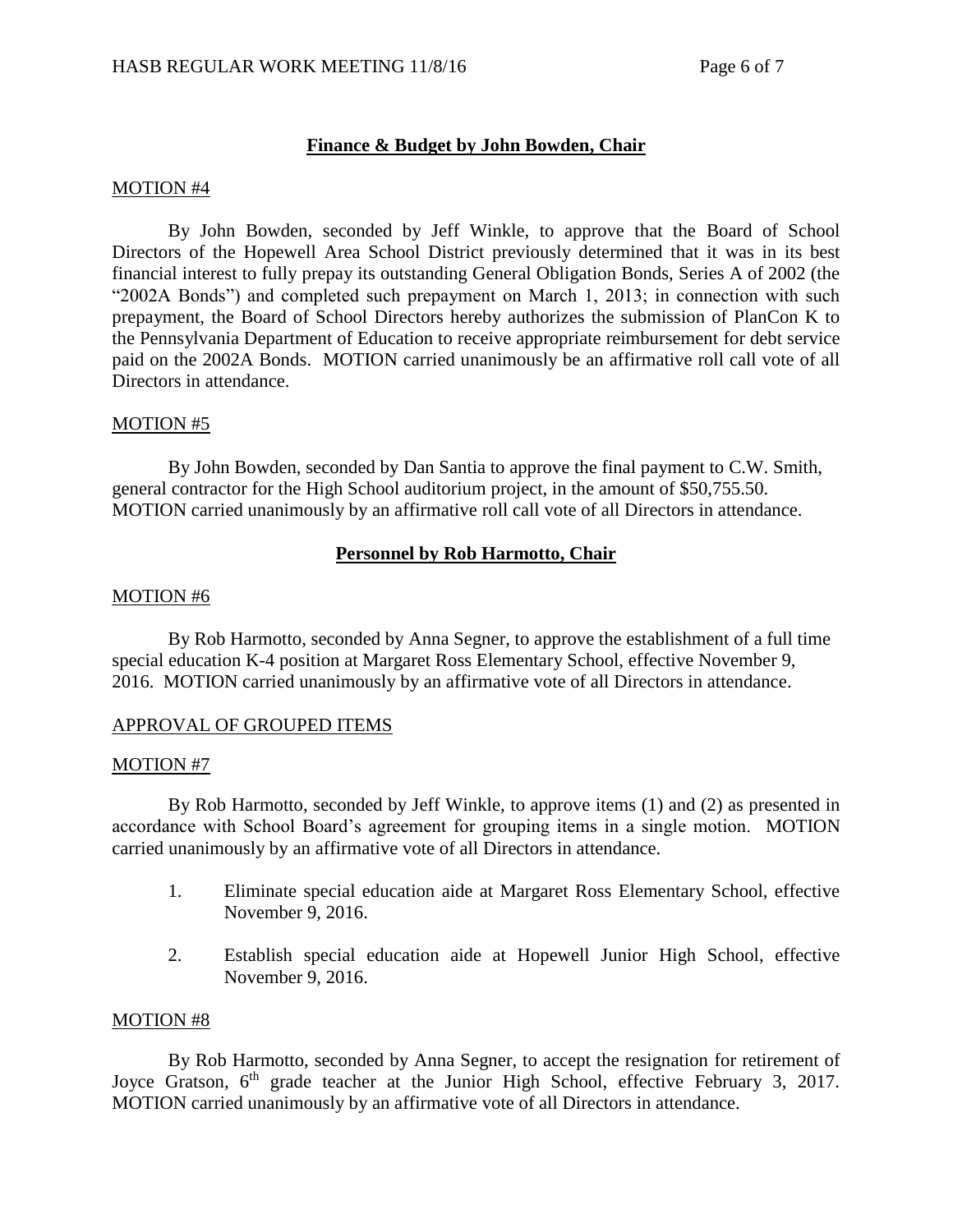# **Finance & Budget by John Bowden, Chair**

#### MOTION #4

By John Bowden, seconded by Jeff Winkle, to approve that the Board of School Directors of the Hopewell Area School District previously determined that it was in its best financial interest to fully prepay its outstanding General Obligation Bonds, Series A of 2002 (the "2002A Bonds") and completed such prepayment on March 1, 2013; in connection with such prepayment, the Board of School Directors hereby authorizes the submission of PlanCon K to the Pennsylvania Department of Education to receive appropriate reimbursement for debt service paid on the 2002A Bonds. MOTION carried unanimously be an affirmative roll call vote of all Directors in attendance.

### MOTION #5

By John Bowden, seconded by Dan Santia to approve the final payment to C.W. Smith, general contractor for the High School auditorium project, in the amount of \$50,755.50. MOTION carried unanimously by an affirmative roll call vote of all Directors in attendance.

### **Personnel by Rob Harmotto, Chair**

#### MOTION #6

By Rob Harmotto, seconded by Anna Segner, to approve the establishment of a full time special education K-4 position at Margaret Ross Elementary School, effective November 9, 2016. MOTION carried unanimously by an affirmative vote of all Directors in attendance.

#### APPROVAL OF GROUPED ITEMS

#### MOTION #7

By Rob Harmotto, seconded by Jeff Winkle, to approve items (1) and (2) as presented in accordance with School Board's agreement for grouping items in a single motion. MOTION carried unanimously by an affirmative vote of all Directors in attendance.

- 1. Eliminate special education aide at Margaret Ross Elementary School, effective November 9, 2016.
- 2. Establish special education aide at Hopewell Junior High School, effective November 9, 2016.

#### MOTION #8

By Rob Harmotto, seconded by Anna Segner, to accept the resignation for retirement of Joyce Gratson, 6<sup>th</sup> grade teacher at the Junior High School, effective February 3, 2017. MOTION carried unanimously by an affirmative vote of all Directors in attendance.